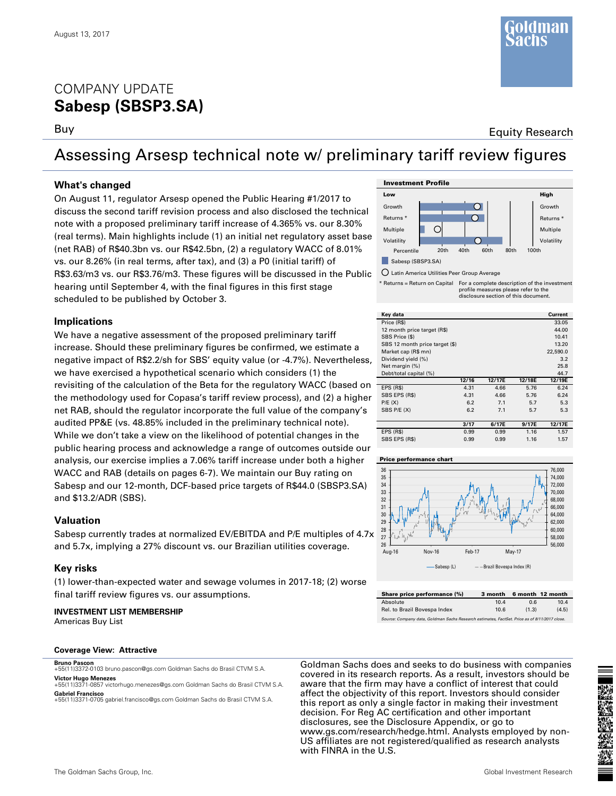# COMPANY UPDATE **Sabesp (SBSP3.SA)**

Buy Equity Research

# Assessing Arsesp technical note w/ preliminary tariff review figures

### **What's changed**

On August 11, regulator Arsesp opened the Public Hearing #1/2017 to discuss the second tariff revision process and also disclosed the technical note with a proposed preliminary tariff increase of 4.365% vs. our 8.30% (real terms). Main highlights include (1) an initial net regulatory asset base (net RAB) of R\$40.3bn vs. our R\$42.5bn, (2) a regulatory WACC of 8.01% vs. our 8.26% (in real terms, after tax), and (3) a P0 (initial tariff) of R\$3.63/m3 vs. our R\$3.76/m3. These figures will be discussed in the Public hearing until September 4, with the final figures in this first stage scheduled to be published by October 3.

### **Implications**

We have a negative assessment of the proposed preliminary tariff increase. Should these preliminary figures be confirmed, we estimate a negative impact of R\$2.2/sh for SBS' equity value (or -4.7%). Nevertheless, we have exercised a hypothetical scenario which considers (1) the revisiting of the calculation of the Beta for the regulatory WACC (based on the methodology used for Copasa's tariff review process), and (2) a higher net RAB, should the regulator incorporate the full value of the company's audited PP&E (vs. 48.85% included in the preliminary technical note). While we don't take a view on the likelihood of potential changes in the public hearing process and acknowledge a range of outcomes outside our analysis, our exercise implies a 7.06% tariff increase under both a higher WACC and RAB (details on pages 6-7). We maintain our Buy rating on Sabesp and our 12-month, DCF-based price targets of R\$44.0 (SBSP3.SA) and \$13.2/ADR (SBS).

# **Valuation**

Sabesp currently trades at normalized EV/EBITDA and P/E multiples of 4.7x and 5.7x, implying a 27% discount vs. our Brazilian utilities coverage.

# **Key risks**

(1) lower-than-expected water and sewage volumes in 2017-18; (2) worse final tariff review figures vs. our assumptions.

#### **INVESTMENT LIST MEMBERSHIP**  Americas Buy List

#### **Coverage View: Attractive**

**Victor Hugo Menezes**  +55(11)3371-0857 victorhugo.menezes@gs.com Goldman Sachs do Brasil CTVM S.A.

**Gabriel Francisco**  +55(11)3371-0705 gabriel.francisco@gs.com Goldman Sachs do Brasil CTVM S.A.

Bruno Pascon **and a companies** and the Sachs do Brasil CTVM S.A. **Goldman Sachs does and seeks to do business with companies** +55(11)3372-0103 bruno.pascon@gs.com Goldman Sachs do Goldman Sachs does and seeks to do busines covered in its research reports. As a result, investors should be aware that the firm may have a conflict of interest that could affect the objectivity of this report. Investors should consider this report as only a single factor in making their investment decision. For Reg AC certification and other important disclosures, see the Disclosure Appendix, or go to www.gs.com/research/hedge.html. Analysts employed by non-US affiliates are not registered/qualified as research analysts with FINRA in the U.S.



| Key data                       |       |        |        | <b>Current</b> |
|--------------------------------|-------|--------|--------|----------------|
| Price (R\$)                    |       |        |        | 33.05          |
| 12 month price target (R\$)    |       |        |        | 44.00          |
| SBS Price (\$)                 |       |        |        | 10.41          |
| SBS 12 month price target (\$) |       |        |        | 13.20          |
| Market cap (R\$ mn)            |       |        |        | 22,590.0       |
| Dividend yield (%)             |       |        |        | 3.2            |
| Net margin (%)                 |       |        |        | 25.8           |
| Debt/total capital (%)         |       |        |        | 44.7           |
|                                |       |        |        |                |
|                                | 12/16 | 12/17E | 12/18E | 12/19E         |
| EPS (R\$)                      | 4.31  | 4.66   | 5.76   | 6.24           |
| <b>SBS EPS (R\$)</b>           | 4.31  | 4.66   | 5.76   | 6.24           |
| P/E(X)                         | 6.2   | 7.1    | 5.7    | 5.3            |
| SBS P/E (X)                    | 6.2   | 7.1    | 5.7    | 5.3            |
|                                |       |        |        |                |
|                                | 3/17  | 6/17E  | 9/17E  | 12/17E         |
| EPS (R\$)                      | 0.99  | 0.99   | 1.16   | 1.57           |



Investment Profile



| ADSUILLE                                                                                      | $\cdots$ | $\mathbf{u}$ . | $\cdots$ |
|-----------------------------------------------------------------------------------------------|----------|----------------|----------|
| Rel. to Brazil Bovespa Index                                                                  | 10.6     | (1.3)          | (4.5)    |
| Source: Company data, Goldman Sachs Research estimates, FactSet, Price as of 8/11/2017 close, |          |                |          |



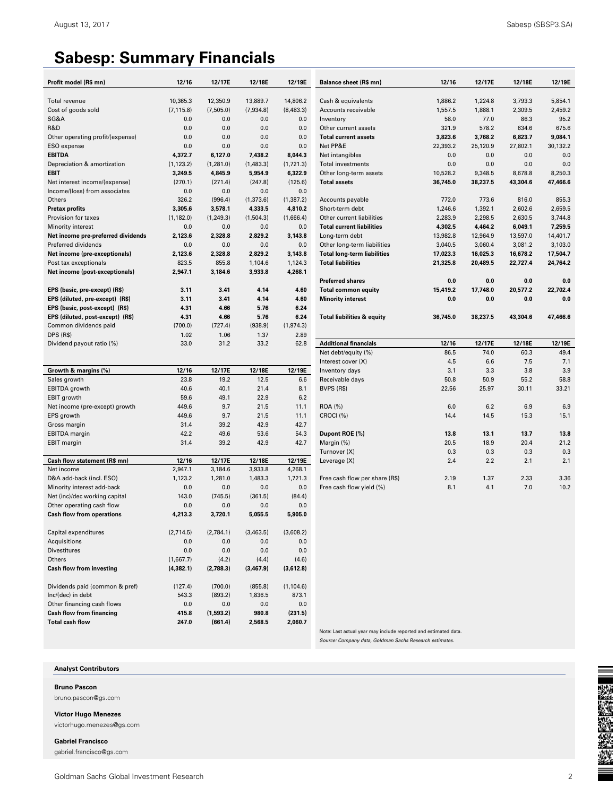# **Sabesp: Summary Financials**

| Profit model (R\$ mn)                      | 12/16              | 12/17E             | 12/18E             | 12/19E             | Balance sheet (R\$ mn)                | 12/16    | 12/17E   | 12/18E   | 12/19E   |
|--------------------------------------------|--------------------|--------------------|--------------------|--------------------|---------------------------------------|----------|----------|----------|----------|
| Total revenue                              | 10,365.3           | 12,350.9           | 13,889.7           | 14,806.2           | Cash & equivalents                    | 1,886.2  | 1,224.8  | 3,793.3  | 5,854.1  |
| Cost of goods sold                         | (7, 115.8)         | (7,505.0)          | (7,934.8)          | (8,483.3)          | Accounts receivable                   | 1,557.5  | 1,888.1  | 2,309.5  | 2,459.2  |
| SG&A                                       | 0.0                | 0.0                | 0.0                | 0.0                | Inventory                             | 58.0     | 77.0     | 86.3     | 95.2     |
| R&D                                        | 0.0                | 0.0                | 0.0                | 0.0                | Other current assets                  | 321.9    | 578.2    | 634.6    | 675.6    |
| Other operating profit/(expense)           | 0.0                | 0.0                | 0.0                | 0.0                | <b>Total current assets</b>           | 3,823.6  | 3,768.2  | 6,823.7  | 9,084.1  |
| ESO expense                                | 0.0                | 0.0                | 0.0                | 0.0                | Net PP&E                              | 22,393.2 | 25,120.9 | 27,802.1 | 30,132.2 |
| <b>EBITDA</b>                              | 4,372.7            | 6,127.0            | 7,438.2            | 8,044.3            | Net intangibles                       | 0.0      | 0.0      | 0.0      | 0.0      |
| Depreciation & amortization                | (1, 123.2)         | (1,281.0)          | (1,483.3)          | (1,721.3)          | <b>Total investments</b>              | 0.0      | 0.0      | 0.0      | 0.0      |
| EBIT                                       | 3,249.5            | 4,845.9            | 5,954.9            | 6,322.9            | Other long-term assets                | 10,528.2 | 9,348.5  | 8,678.8  | 8,250.3  |
| Net interest income/(expense)              | (270.1)            | (271.4)            | (247.8)            | (125.6)            | <b>Total assets</b>                   | 36,745.0 | 38,237.5 | 43,304.6 | 47,466.6 |
| Income/(loss) from associates              | 0.0                | 0.0                | 0.0                | 0.0                |                                       |          |          |          |          |
| Others                                     | 326.2              | (996.4)            | (1,373.6)          | (1, 387.2)         | Accounts payable                      | 772.0    | 773.6    | 816.0    | 855.3    |
| <b>Pretax profits</b>                      | 3,305.6            | 3,578.1            | 4,333.5            | 4,810.2            | Short-term debt                       | 1,246.6  | 1,392.1  | 2,602.6  | 2,659.5  |
| Provision for taxes                        | (1, 182.0)         | (1, 249.3)         | (1,504.3)          | (1,666.4)          | Other current liabilities             | 2,283.9  | 2,298.5  | 2,630.5  | 3,744.8  |
| Minority interest                          | 0.0                | 0.0                | 0.0                | 0.0                | <b>Total current liabilities</b>      | 4,302.5  | 4,464.2  | 6,049.1  | 7,259.5  |
| Net income pre-preferred dividends         | 2,123.6            | 2,328.8            | 2,829.2            | 3,143.8            | Long-term debt                        | 13,982.8 | 12,964.9 | 13,597.0 | 14,401.7 |
| Preferred dividends                        | 0.0                | 0.0                | 0.0                | 0.0                | Other long-term liabilities           | 3,040.5  | 3,060.4  | 3,081.2  | 3,103.0  |
| Net income (pre-exceptionals)              | 2,123.6            | 2,328.8            | 2,829.2            | 3,143.8            | <b>Total long-term liabilities</b>    | 17,023.3 | 16,025.3 | 16,678.2 | 17,504.7 |
| Post tax exceptionals                      | 823.5              | 855.8              | 1,104.6            | 1,124.3            | <b>Total liabilities</b>              | 21,325.8 | 20,489.5 | 22,727.4 | 24,764.2 |
| Net income (post-exceptionals)             | 2,947.1            | 3,184.6            | 3,933.8            | 4,268.1            |                                       |          |          |          |          |
|                                            |                    |                    |                    |                    | <b>Preferred shares</b>               | 0.0      | 0.0      | 0.0      | 0.0      |
| EPS (basic, pre-except) (R\$)              | 3.11               | 3.41               | 4.14               | 4.60               | <b>Total common equity</b>            | 15,419.2 | 17,748.0 | 20,577.2 | 22,702.4 |
| EPS (diluted, pre-except) (R\$)            | 3.11               | 3.41               | 4.14               | 4.60               | <b>Minority interest</b>              | 0.0      | 0.0      | 0.0      | 0.0      |
| EPS (basic, post-except) (R\$)             | 4.31               | 4.66               | 5.76               | 6.24               |                                       |          |          |          |          |
| EPS (diluted, post-except) (R\$)           | 4.31               | 4.66               | 5.76               | 6.24               | <b>Total liabilities &amp; equity</b> | 36,745.0 | 38,237.5 | 43,304.6 | 47,466.6 |
| Common dividends paid                      | (700.0)            | (727.4)            | (938.9)            | (1,974.3)          |                                       |          |          |          |          |
| DPS (R\$)                                  | 1.02               | 1.06               | 1.37               | 2.89               |                                       |          |          |          |          |
| Dividend payout ratio (%)                  | 33.0               | 31.2               | 33.2               | 62.8               | <b>Additional financials</b>          | 12/16    | 12/17E   | 12/18E   | 12/19E   |
|                                            |                    |                    |                    |                    | Net debt/equity (%)                   | 86.5     | 74.0     | 60.3     | 49.4     |
|                                            |                    |                    |                    |                    | Interest cover (X)                    | 4.5      | 6.6      | 7.5      | 7.1      |
| Growth & margins (%)                       | 12/16              | 12/17E             | 12/18E             | 12/19E             | Inventory days                        | 3.1      | 3.3      | 3.8      | 3.9      |
| Sales growth                               | 23.8               | 19.2               | 12.5               | 6.6                | Receivable days                       | 50.8     | 50.9     | 55.2     | 58.8     |
| <b>EBITDA</b> growth                       | 40.6               | 40.1               | 21.4               | 8.1                | BVPS (R\$)                            | 22.56    | 25.97    | 30.11    | 33.21    |
| <b>EBIT growth</b>                         | 59.6               | 49.1               | 22.9               | 6.2                |                                       |          |          |          |          |
| Net income (pre-except) growth             | 449.6              | 9.7                | 21.5               | 11.1               | ROA (%)                               | 6.0      | 6.2      | 6.9      | 6.9      |
| EPS growth                                 | 449.6              | 9.7                | 21.5               | 11.1               | CROCI (%)                             | 14.4     | 14.5     | 15.3     | 15.1     |
| Gross margin                               | 31.4               | 39.2               | 42.9               | 42.7               |                                       |          |          |          |          |
| <b>EBITDA</b> margin                       | 42.2               | 49.6               | 53.6               | 54.3               | Dupont ROE (%)                        | 13.8     | 13.1     | 13.7     | 13.8     |
| <b>EBIT</b> margin                         | 31.4               | 39.2               | 42.9               | 42.7               | Margin (%)                            | 20.5     | 18.9     | 20.4     | 21.2     |
|                                            |                    |                    |                    |                    | Turnover (X)                          | 0.3      | 0.3      | 0.3      | 0.3      |
| Cash flow statement (R\$ mn)<br>Net income | 12/16              | 12/17E             | 12/18E             | 12/19E             | Leverage (X)                          | 2.4      | 2.2      | 2.1      | 2.1      |
| D&A add-back (incl. ESO)                   | 2,947.1<br>1,123.2 | 3,184.6<br>1,281.0 | 3,933.8<br>1,483.3 | 4,268.1<br>1,721.3 | Free cash flow per share (R\$)        | 2.19     | 1.37     | 2.33     | 3.36     |
| Minority interest add-back                 | 0.0                | 0.0                | 0.0                | 0.0                | Free cash flow yield (%)              | 8.1      | 4.1      | 7.0      | 10.2     |
| Net (inc)/dec working capital              | 143.0              | (745.5)            | (361.5)            | (84.4)             |                                       |          |          |          |          |
| Other operating cash flow                  | 0.0                | 0.0                | 0.0                | 0.0                |                                       |          |          |          |          |
| <b>Cash flow from operations</b>           | 4,213.3            | 3,720.1            | 5,055.5            | 5,905.0            |                                       |          |          |          |          |
|                                            |                    |                    |                    |                    |                                       |          |          |          |          |
| Capital expenditures                       | (2,714.5)          | (2,784.1)          | (3,463.5)          | (3,608.2)          |                                       |          |          |          |          |
| Acquisitions                               | 0.0                | 0.0                | 0.0                | 0.0                |                                       |          |          |          |          |
| Divestitures                               | 0.0                | 0.0                | 0.0                | 0.0                |                                       |          |          |          |          |
| Others                                     | (1,667.7)          | (4.2)              | (4.4)              | (4.6)              |                                       |          |          |          |          |
| <b>Cash flow from investing</b>            | (4, 382.1)         | (2,788.3)          | (3,467.9)          | (3,612.8)          |                                       |          |          |          |          |
|                                            |                    |                    |                    |                    |                                       |          |          |          |          |
| Dividends paid (common & pref)             | (127.4)            | (700.0)            | (855.8)            | (1, 104.6)         |                                       |          |          |          |          |
| Inc/(dec) in debt                          | 543.3              | (893.2)            | 1,836.5            | 873.1              |                                       |          |          |          |          |
| Other financing cash flows                 | 0.0                | 0.0                | 0.0                | 0.0                |                                       |          |          |          |          |
| Cash flow from financing                   | 415.8              | (1,593.2)          | 980.8              | (231.5)            |                                       |          |          |          |          |
| <b>Total cash flow</b>                     | 247.0              | (661.4)            | 2,568.5            | 2,060.7            |                                       |          |          |          |          |
|                                            |                    |                    |                    |                    |                                       |          |          |          |          |

| Balance sheet (R\$ mn)                              | 12/16            | 12/17E         | 12/18E         | 12/19E         |
|-----------------------------------------------------|------------------|----------------|----------------|----------------|
| Cash & equivalents                                  | 1,886.2          | 1,224.8        | 3,793.3        | 5,854.1        |
| Accounts receivable                                 | 1,557.5          | 1,888.1        | 2,309.5        | 2,459.2        |
| Inventory                                           | 58.0             | 77.0           | 86.3           | 95.2           |
| Other current assets                                | 321.9            | 578.2          | 634.6          | 675.6          |
| <b>Total current assets</b>                         | 3.823.6          | 3.768.2        | 6.823.7        | 9.084.1        |
| Net PP&E                                            | 22,393.2         | 25,120.9       | 27,802.1       | 30,132.2       |
| Net intangibles                                     | 0.0              | 0.0            | 0.0            | 0.0            |
| <b>Total investments</b>                            | 0.0              | 0.0            | 0.0            | 0.0            |
| Other long-term assets                              | 10,528.2         | 9,348.5        | 8,678.8        | 8,250.3        |
| <b>Total assets</b>                                 | 36,745.0         | 38,237.5       | 43,304.6       | 47,466.6       |
|                                                     |                  | 773.6          | 816.0          | 855.3          |
| Accounts payable<br>Short-term debt                 | 772.0<br>1,246.6 | 1,392.1        | 2,602.6        | 2,659.5        |
| Other current liabilities                           | 2,283.9          | 2,298.5        | 2.630.5        | 3,744.8        |
| <b>Total current liabilities</b>                    | 4,302.5          | 4,464.2        | 6,049.1        | 7,259.5        |
| Long-term debt                                      | 13,982.8         | 12,964.9       | 13,597.0       | 14,401.7       |
| Other long-term liabilities                         | 3.040.5          | 3.060.4        | 3.081.2        | 3.103.0        |
| <b>Total long-term liabilities</b>                  | 17,023.3         | 16,025.3       | 16,678.2       | 17,504.7       |
| <b>Total liabilities</b>                            | 21,325.8         | 20,489.5       | 22,727.4       | 24,764.2       |
|                                                     |                  |                |                |                |
| <b>Preferred shares</b>                             | 0.0              | 0.0            | 0.0            | 0.0            |
| <b>Total common equity</b>                          | 15,419.2         | 17,748.0       | 20,577.2       | 22,702.4       |
| <b>Minority interest</b>                            | 0.0              | 0.0            | 0.0            | 0.0            |
| <b>Total liabilities &amp; equity</b>               | 36,745.0         | 38,237.5       | 43,304.6       | 47,466.6       |
|                                                     |                  |                |                |                |
|                                                     |                  |                |                |                |
| <b>Additional financials</b><br>Net debt/equity (%) | 12/16<br>86.5    | 12/17E<br>74.0 | 12/18E<br>60.3 | 12/19E<br>49.4 |
| Interest cover (X)                                  | 4.5              | 6.6            | 7.5            | 7.1            |
| Inventory days                                      | 3.1              | 3.3            | 3.8            | 3.9            |
| Receivable days                                     | 50.8             | 50.9           | 55.2           | 58.8           |
| BVPS (R\$)                                          | 22.56            | 25.97          | 30.11          | 33.21          |
|                                                     |                  |                |                |                |
| ROA (%)                                             | 6.0              | 6.2            | 6.9            | 6.9            |
| CROCI (%)                                           | 14.4             | 14.5           | 15.3           | 15.1           |
|                                                     |                  |                |                |                |
| Dupont ROE (%)                                      | 13.8             | 13.1           | 13.7           | 13.8           |
| Margin (%)                                          | 20.5             | 18.9           | 20.4           | 21.2           |
| Turnover (X)                                        | 0.3              | 0.3            | 0.3            | 0.3            |
| Leverage (X)                                        | 2.4              | 2.2            | 2.1            | 2.1            |
| Free cash flow per share (R\$)                      | 2.19             | 1.37           | 2.33           | 3.36           |
| Free cash flow yield (%)                            | 8.1              | 4.1            | 7.0            | 10.2           |

Note: Last actual year may include reported and estimated data.

Source: Company data, Goldman Sachs Research estimates.

#### **Analyst Contributors**

**Bruno Pascon** 

bruno.pascon@gs.com

#### **Victor Hugo Menezes**

victorhugo.menezes@gs.com

**Gabriel Francisco**  gabriel.francisco@gs.com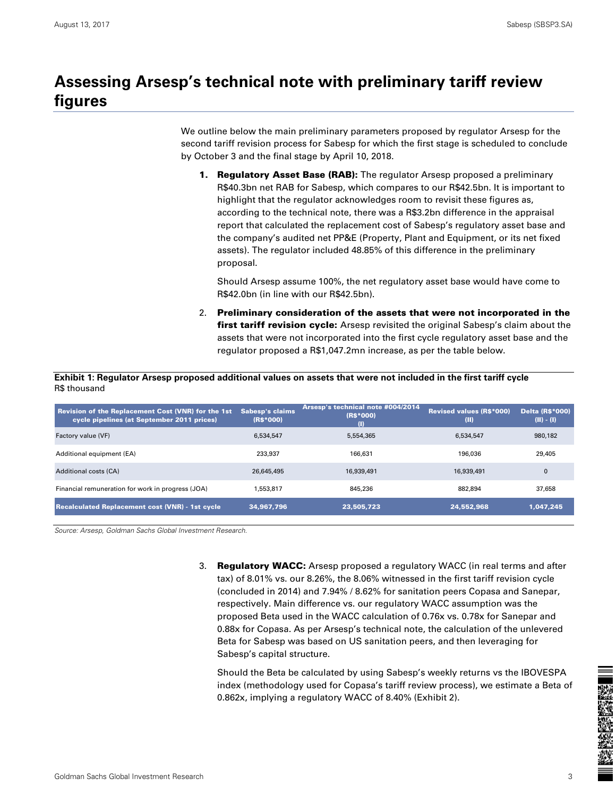# **Assessing Arsesp's technical note with preliminary tariff review figures**

We outline below the main preliminary parameters proposed by regulator Arsesp for the second tariff revision process for Sabesp for which the first stage is scheduled to conclude by October 3 and the final stage by April 10, 2018.

**1. Regulatory Asset Base (RAB):** The regulator Arsesp proposed a preliminary R\$40.3bn net RAB for Sabesp, which compares to our R\$42.5bn. It is important to highlight that the regulator acknowledges room to revisit these figures as, according to the technical note, there was a R\$3.2bn difference in the appraisal report that calculated the replacement cost of Sabesp's regulatory asset base and the company's audited net PP&E (Property, Plant and Equipment, or its net fixed assets). The regulator included 48.85% of this difference in the preliminary proposal.

Should Arsesp assume 100%, the net regulatory asset base would have come to R\$42.0bn (in line with our R\$42.5bn).

2. Preliminary consideration of the assets that were not incorporated in the first tariff revision cycle: Arsesp revisited the original Sabesp's claim about the assets that were not incorporated into the first cycle regulatory asset base and the regulator proposed a R\$1,047.2mn increase, as per the table below.

**Exhibit 1: Regulator Arsesp proposed additional values on assets that were not included in the first tariff cycle**  R\$ thousand

| <b>Revision of the Replacement Cost (VNR) for the 1st</b><br>cycle pipelines (at September 2011 prices) | <b>Sabesp's claims</b><br>(R\$*000) | Arsesp's technical note #004/2014<br>(R\$*000)<br>(I) | <b>Revised values (R\$*000)</b><br>(II) | <b>Delta (R\$*000)</b><br>$(11) - (1)$ |
|---------------------------------------------------------------------------------------------------------|-------------------------------------|-------------------------------------------------------|-----------------------------------------|----------------------------------------|
| Factory value (VF)                                                                                      | 6.534.547                           | 5.554.365                                             | 6.534.547                               | 980.182                                |
| Additional equipment (EA)                                                                               | 233.937                             | 166.631                                               | 196.036                                 | 29,405                                 |
| Additional costs (CA)                                                                                   | 26.645.495                          | 16.939.491                                            | 16.939.491                              | $\mathbf{0}$                           |
| Financial remuneration for work in progress (JOA)                                                       | 1.553.817                           | 845.236                                               | 882.894                                 | 37.658                                 |
| <b>Recalculated Replacement cost (VNR) - 1st cycle</b>                                                  | 34.967.796                          | 23,505,723                                            | 24,552,968                              | 1.047.245                              |

Source: Arsesp, Goldman Sachs Global Investment Research.

3. Regulatory WACC: Arsesp proposed a regulatory WACC (in real terms and after tax) of 8.01% vs. our 8.26%, the 8.06% witnessed in the first tariff revision cycle (concluded in 2014) and 7.94% / 8.62% for sanitation peers Copasa and Sanepar, respectively. Main difference vs. our regulatory WACC assumption was the proposed Beta used in the WACC calculation of 0.76x vs. 0.78x for Sanepar and 0.88x for Copasa. As per Arsesp's technical note, the calculation of the unlevered Beta for Sabesp was based on US sanitation peers, and then leveraging for Sabesp's capital structure.

Should the Beta be calculated by using Sabesp's weekly returns vs the IBOVESPA index (methodology used for Copasa's tariff review process), we estimate a Beta of 0.862x, implying a regulatory WACC of 8.40% (Exhibit 2).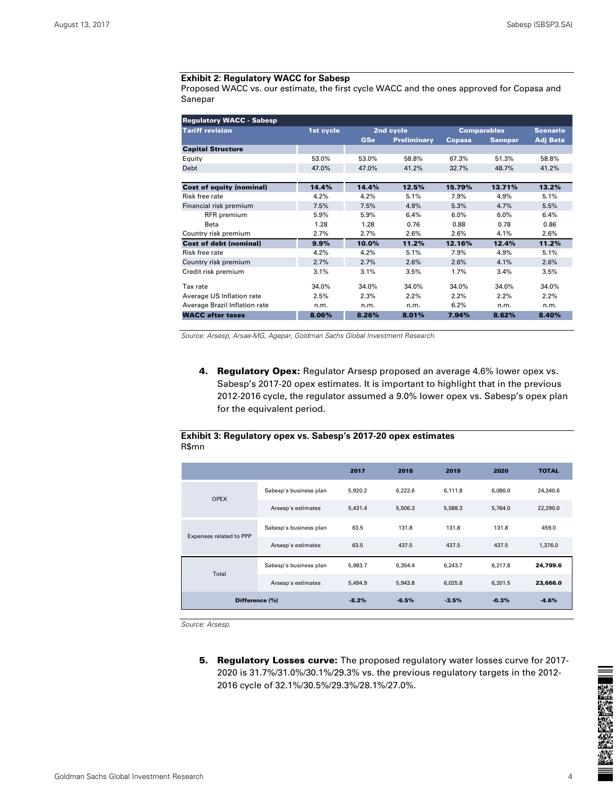#### **Exhibit 2: Regulatory WACC for Sabesp**

Proposed WACC vs. our estimate, the first cycle WACC and the ones approved for Copasa and Sanepar

| <b>Regulatory WACC - Sabesp</b> |           |            |                    |        |                    |                 |
|---------------------------------|-----------|------------|--------------------|--------|--------------------|-----------------|
| <b>Tariff revision</b>          | 1st cycle |            | 2nd cycle          |        | <b>Comparables</b> | <b>Scenario</b> |
|                                 |           | <b>GSe</b> | <b>Preliminary</b> | Copasa | <b>Sanepar</b>     | <b>Adj Beta</b> |
| <b>Capital Structure</b>        |           |            |                    |        |                    |                 |
| Equity                          | 53.0%     | 53.0%      | 58.8%              | 67.3%  | 51.3%              | 58.8%           |
| Debt                            | 47.0%     | 47.0%      | 41.2%              | 32.7%  | 48.7%              | 41.2%           |
|                                 |           |            |                    |        |                    |                 |
| <b>Cost of equity (nominal)</b> | 14.4%     | 14.4%      | 12.5%              | 15.79% | 13.71%             | 13.2%           |
| Risk free rate                  | 4.2%      | 4.2%       | 5.1%               | 7.9%   | 4.9%               | 5.1%            |
| Financial risk premium          | 7.5%      | 7.5%       | 4.9%               | 5.3%   | 4.7%               | 5.5%            |
| RFR premium                     | 5.9%      | 5.9%       | 6.4%               | 6.0%   | 6.0%               | 6.4%            |
| Beta                            | 1.28      | 1.28       | 0.76               | 0.88   | 0.78               | 0.86            |
| Country risk premium            | 2.7%      | 2.7%       | 2.6%               | 2.6%   | 4.1%               | 2.6%            |
| <b>Cost of debt (nominal)</b>   | 9.9%      | 10.0%      | 11.2%              | 12.16% | 12.4%              | 11.2%           |
| Risk free rate                  | 4.2%      | 4.2%       | 5.1%               | 7.9%   | 4.9%               | 5.1%            |
| Country risk premium            | 2.7%      | 2.7%       | 2.6%               | 2.6%   | 4.1%               | 2.6%            |
| Credit risk premium             | 3.1%      | 3.1%       | 3.5%               | 1.7%   | 3.4%               | 3.5%            |
|                                 |           |            |                    |        |                    |                 |
| Tax rate                        | 34.0%     | 34.0%      | 34.0%              | 34.0%  | 34.0%              | 34.0%           |
| Average US Inflation rate       | 2.5%      | 2.3%       | 2.2%               | 2.2%   | 2.2%               | 2.2%            |
| Average Brazil Inflation rate   | n.m.      | n.m.       | n.m.               | 6.2%   | n.m.               | n.m.            |
| <b>WACC</b> after taxes         | 8.06%     | 8.26%      | 8.01%              | 7.94%  | 8.62%              | 8.40%           |

Source: Arsesp, Arsae-MG, Agepar, Goldman Sachs Global Investment Research.

4. Regulatory Opex: Regulator Arsesp proposed an average 4.6% lower opex vs. Sabesp's 2017-20 opex estimates. It is important to highlight that in the previous 2012-2016 cycle, the regulator assumed a 9.0% lower opex vs. Sabesp's opex plan for the equivalent period.

#### **Exhibit 3: Regulatory opex vs. Sabesp's 2017-20 opex estimates**  R\$mn

|                         |                        | 2017    | 2018    | 2019    | 2020    | <b>TOTAL</b> |
|-------------------------|------------------------|---------|---------|---------|---------|--------------|
| <b>OPEX</b>             | Sabesp's business plan | 5,920.2 | 6.222.6 | 6.111.8 | 6,086.0 | 24,340.6     |
|                         | Arsesp's estimates     | 5,431.4 | 5,506.3 | 5,588.3 | 5,764.0 | 22,290.0     |
|                         | Sabesp's business plan | 63.5    | 131.8   | 131.8   | 131.8   | 459.0        |
| Expenses related to PPP | Arsesp's estimates     | 63.5    | 437.5   | 437.5   | 437.5   | 1,376.0      |
| Total                   | Sabesp's business plan | 5,983.7 | 6.354.4 | 6.243.7 | 6.217.8 | 24.799.6     |
|                         | Arsesp's estimates     | 5,494.9 | 5.943.8 | 6.025.8 | 6.201.5 | 23.666.0     |
| Difference (%)          |                        | $-8.2%$ | $-6.5%$ | $-3.5%$ | $-0.3%$ | $-4.6%$      |

Source: Arsesp.

5. Regulatory Losses curve: The proposed regulatory water losses curve for 2017-2020 is 31.7%/31.0%/30.1%/29.3% vs. the previous regulatory targets in the 2012- 2016 cycle of 32.1%/30.5%/29.3%/28.1%/27.0%.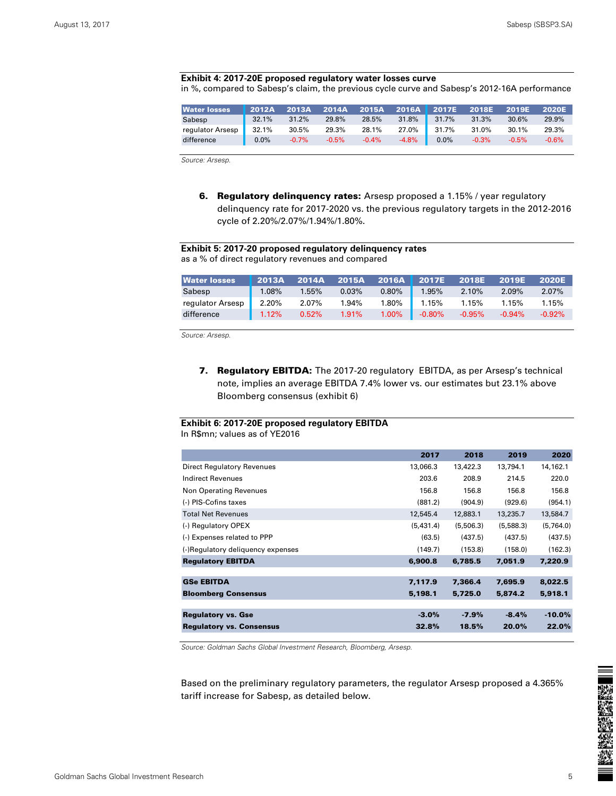# **Exhibit 4: 2017-20E proposed regulatory water losses curve**

in %, compared to Sabesp's claim, the previous cycle curve and Sabesp's 2012-16A performance

| <b>Water losses</b> | 2012A | 2013A   | 2014A   | 2015A 2016A 2017E |         |         | 2018E   | 2019E   | 2020E    |
|---------------------|-------|---------|---------|-------------------|---------|---------|---------|---------|----------|
| Sabesp              | 32.1% | 31.2%   | 29.8%   | 28.5%             | 31.8%   | 31.7%   | 31.3%   | 30.6%   | 29.9%    |
| regulator Arsesp    | 32.1% | 30.5%   | 29.3%   | 28.1%             | 27.0%   | 31.7%   | 31.0%   | 30.1%   | 29.3%    |
| difference          | 0.0%  | $-0.7%$ | $-0.5%$ | $-0.4%$           | $-4.8%$ | $0.0\%$ | $-0.3%$ | $-0.5%$ | $-0.6\%$ |

Source: Arsesp.

6. Regulatory delinquency rates: Arsesp proposed a 1.15% / year regulatory delinquency rate for 2017-2020 vs. the previous regulatory targets in the 2012-2016 cycle of 2.20%/2.07%/1.94%/1.80%.

#### **Exhibit 5: 2017-20 proposed regulatory delinquency rates**  as a % of direct regulatory revenues and compared

| <b>Water losses</b> | 2013A | 2014A | 2015A | 2016A | 2017E     | 2018E    | 2019E    | 2020E    |
|---------------------|-------|-------|-------|-------|-----------|----------|----------|----------|
| Sabesp              | 1.08% | 1.55% | 0.03% | 0.80% | 1.95%     | 2.10%    | 2.09%    | 2.07%    |
| regulator Arsesp    | 2.20% | 2.07% | 1.94% | 1.80% | 1.15%     | 1.15%    | 1.15%    | 1.15%    |
| difference          | 1.12% | 0.52% | 1.91% | 1.00% | $-0.80\%$ | $-0.95%$ | $-0.94%$ | $-0.92%$ |

Source: Arsesp.

7. Regulatory EBITDA: The 2017-20 regulatory EBITDA, as per Arsesp's technical note, implies an average EBITDA 7.4% lower vs. our estimates but 23.1% above Bloomberg consensus (exhibit 6)

#### **Exhibit 6: 2017-20E proposed regulatory EBITDA**

In R\$mn; values as of YE2016

|                                   | 2017      | 2018      | 2019      | 2020      |
|-----------------------------------|-----------|-----------|-----------|-----------|
| <b>Direct Regulatory Revenues</b> | 13,066.3  | 13,422.3  | 13,794.1  | 14,162.1  |
| <b>Indirect Revenues</b>          | 203.6     | 208.9     | 214.5     | 220.0     |
| Non Operating Revenues            | 156.8     | 156.8     | 156.8     | 156.8     |
| (-) PIS-Cofins taxes              | (881.2)   | (904.9)   | (929.6)   | (954.1)   |
| <b>Total Net Revenues</b>         | 12,545.4  | 12,883.1  | 13,235.7  | 13,584.7  |
| (-) Regulatory OPEX               | (5.431.4) | (5,506.3) | (5,588.3) | (5,764.0) |
| (-) Expenses related to PPP       | (63.5)    | (437.5)   | (437.5)   | (437.5)   |
| (-)Regulatory deliguency expenses | (149.7)   | (153.8)   | (158.0)   | (162.3)   |
| <b>Regulatory EBITDA</b>          | 6,900.8   | 6,785.5   | 7,051.9   | 7,220.9   |
|                                   |           |           |           |           |
| <b>GSe EBITDA</b>                 | 7,117.9   | 7.366.4   | 7.695.9   | 8,022.5   |
| <b>Bloomberg Consensus</b>        | 5,198.1   | 5,725.0   | 5,874.2   | 5,918.1   |
|                                   |           |           |           |           |
| <b>Regulatory vs. Gse</b>         | $-3.0%$   | $-7.9%$   | $-8.4%$   | $-10.0%$  |
| <b>Regulatory vs. Consensus</b>   | 32.8%     | 18.5%     | 20.0%     | 22.0%     |

Source: Goldman Sachs Global Investment Research, Bloomberg, Arsesp.

Based on the preliminary regulatory parameters, the regulator Arsesp proposed a 4.365% tariff increase for Sabesp, as detailed below.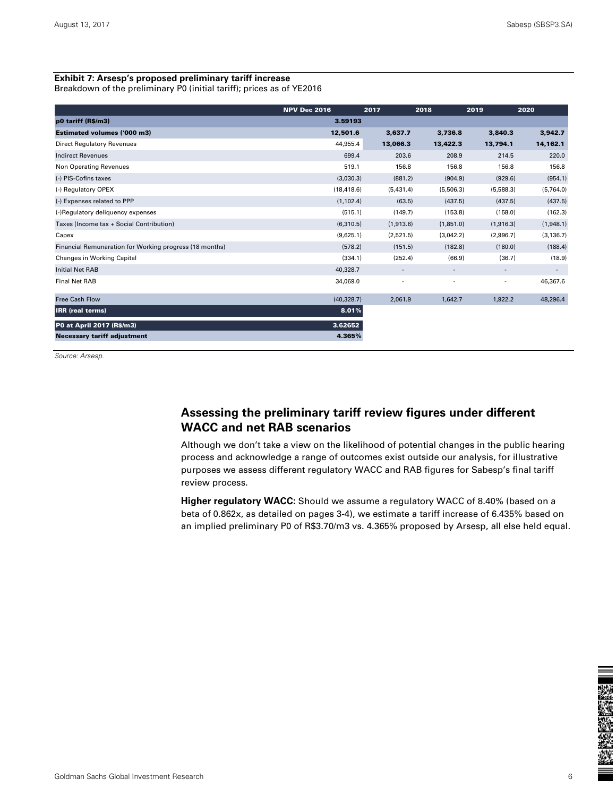#### **Exhibit 7: Arsesp's proposed preliminary tariff increase**

Breakdown of the preliminary P0 (initial tariff); prices as of YE2016

|                                                         | <b>NPV Dec 2016</b> | 2017                     | 2018      | 2019      | 2020                     |
|---------------------------------------------------------|---------------------|--------------------------|-----------|-----------|--------------------------|
| p0 tariff (R\$/m3)                                      | 3.59193             |                          |           |           |                          |
| <b>Estimated volumes ('000 m3)</b>                      | 12,501.6            | 3,637.7                  | 3,736.8   | 3,840.3   | 3,942.7                  |
| <b>Direct Regulatory Revenues</b>                       | 44,955.4            | 13,066.3                 | 13,422.3  | 13,794.1  | 14,162.1                 |
| <b>Indirect Revenues</b>                                | 699.4               | 203.6                    | 208.9     | 214.5     | 220.0                    |
| Non Operating Revenues                                  | 519.1               | 156.8                    | 156.8     | 156.8     | 156.8                    |
| (-) PIS-Cofins taxes                                    | (3,030.3)           | (881.2)                  | (904.9)   | (929.6)   | (954.1)                  |
| (-) Regulatory OPEX                                     | (18, 418.6)         | (5,431.4)                | (5,506.3) | (5,588.3) | (5,764.0)                |
| (-) Expenses related to PPP                             | (1, 102.4)          | (63.5)                   | (437.5)   | (437.5)   | (437.5)                  |
| (-)Regulatory deliguency expenses                       | (515.1)             | (149.7)                  | (153.8)   | (158.0)   | (162.3)                  |
| Taxes (Income tax + Social Contribution)                | (6,310.5)           | (1,913.6)                | (1,851.0) | (1,916.3) | (1,948.1)                |
| Capex                                                   | (9,625.1)           | (2,521.5)                | (3,042.2) | (2,996.7) | (3, 136.7)               |
| Financial Remunaration for Working progress (18 months) | (578.2)             | (151.5)                  | (182.8)   | (180.0)   | (188.4)                  |
| <b>Changes in Working Capital</b>                       | (334.1)             | (252.4)                  | (66.9)    | (36.7)    | (18.9)                   |
| <b>Initial Net RAB</b>                                  | 40,328.7            | $\overline{\phantom{a}}$ | ٠         | ٠         | $\overline{\phantom{a}}$ |
| <b>Final Net RAB</b>                                    | 34,069.0            | $\overline{\phantom{a}}$ |           | ٠         | 46,367.6                 |
| <b>Free Cash Flow</b>                                   | (40, 328.7)         | 2,061.9                  | 1,642.7   | 1,922.2   | 48,296.4                 |
| <b>IRR</b> (real terms)                                 | 8.01%               |                          |           |           |                          |
| P0 at April 2017 (R\$/m3)                               | 3.62652             |                          |           |           |                          |
| <b>Necessary tariff adjustment</b>                      | 4.365%              |                          |           |           |                          |

Source: Arsesp.

# **Assessing the preliminary tariff review figures under different WACC and net RAB scenarios**

Although we don't take a view on the likelihood of potential changes in the public hearing process and acknowledge a range of outcomes exist outside our analysis, for illustrative purposes we assess different regulatory WACC and RAB figures for Sabesp's final tariff review process.

**Higher regulatory WACC:** Should we assume a regulatory WACC of 8.40% (based on a beta of 0.862x, as detailed on pages 3-4), we estimate a tariff increase of 6.435% based on an implied preliminary P0 of R\$3.70/m3 vs. 4.365% proposed by Arsesp, all else held equal.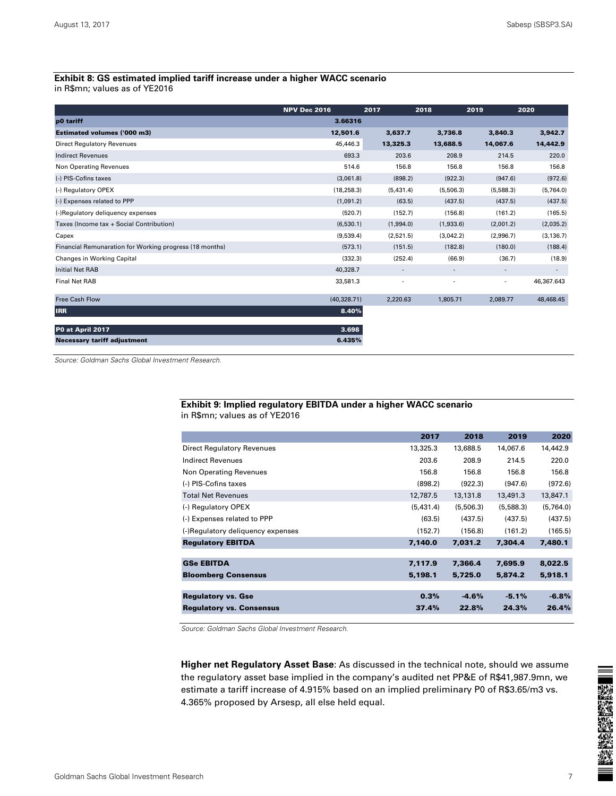### **Exhibit 8: GS estimated implied tariff increase under a higher WACC scenario**

in R\$mn; values as of YE2016

|                                                         | <b>NPV Dec 2016</b> | 2017                     | 2018                     | 2019                     | 2020       |
|---------------------------------------------------------|---------------------|--------------------------|--------------------------|--------------------------|------------|
| p0 tariff                                               | 3.66316             |                          |                          |                          |            |
| <b>Estimated volumes ('000 m3)</b>                      | 12,501.6            | 3,637.7                  | 3,736.8                  | 3,840.3                  | 3,942.7    |
| Direct Regulatory Revenues                              | 45,446.3            | 13,325.3                 | 13,688.5                 | 14,067.6                 | 14,442.9   |
| <b>Indirect Revenues</b>                                | 693.3               | 203.6                    | 208.9                    | 214.5                    | 220.0      |
| Non Operating Revenues                                  | 514.6               | 156.8                    | 156.8                    | 156.8                    | 156.8      |
| (-) PIS-Cofins taxes                                    | (3,061.8)           | (898.2)                  | (922.3)                  | (947.6)                  | (972.6)    |
| (-) Regulatory OPEX                                     | (18, 258.3)         | (5,431.4)                | (5,506.3)                | (5,588.3)                | (5,764.0)  |
| (-) Expenses related to PPP                             | (1,091.2)           | (63.5)                   | (437.5)                  | (437.5)                  | (437.5)    |
| (-)Regulatory deliguency expenses                       | (520.7)             | (152.7)                  | (156.8)                  | (161.2)                  | (165.5)    |
| Taxes (Income tax + Social Contribution)                | (6,530.1)           | (1,994.0)                | (1,933.6)                | (2,001.2)                | (2,035.2)  |
| Capex                                                   | (9,539.4)           | (2,521.5)                | (3,042.2)                | (2,996.7)                | (3, 136.7) |
| Financial Remunaration for Working progress (18 months) | (573.1)             | (151.5)                  | (182.8)                  | (180.0)                  | (188.4)    |
| <b>Changes in Working Capital</b>                       | (332.3)             | (252.4)                  | (66.9)                   | (36.7)                   | (18.9)     |
| <b>Initial Net RAB</b>                                  | 40,328.7            | ٠                        | $\overline{\phantom{a}}$ |                          | $\sim$     |
| <b>Final Net RAB</b>                                    | 33,581.3            | $\overline{\phantom{a}}$ | ٠                        | $\overline{\phantom{a}}$ | 46,367.643 |
| <b>Free Cash Flow</b>                                   | (40, 328.71)        | 2,220.63                 | 1,805.71                 | 2,089.77                 | 48,468.45  |
| <b>IRR</b>                                              | 8.40%               |                          |                          |                          |            |
| P0 at April 2017                                        | 3.698               |                          |                          |                          |            |
| <b>Necessary tariff adjustment</b>                      | 6.435%              |                          |                          |                          |            |

Source: Goldman Sachs Global Investment Research.

#### **Exhibit 9: Implied regulatory EBITDA under a higher WACC scenario**  in R\$mn; values as of YE2016

|                                   | 2017      | 2018      | 2019      | 2020      |
|-----------------------------------|-----------|-----------|-----------|-----------|
| Direct Regulatory Revenues        | 13,325.3  | 13,688.5  | 14,067.6  | 14,442.9  |
| <b>Indirect Revenues</b>          | 203.6     | 208.9     | 214.5     | 220.0     |
| Non Operating Revenues            | 156.8     | 156.8     | 156.8     | 156.8     |
| (-) PIS-Cofins taxes              | (898.2)   | (922.3)   | (947.6)   | (972.6)   |
| <b>Total Net Revenues</b>         | 12,787.5  | 13,131.8  | 13,491.3  | 13,847.1  |
| (-) Regulatory OPEX               | (5,431.4) | (5,506.3) | (5,588.3) | (5,764.0) |
| (-) Expenses related to PPP       | (63.5)    | (437.5)   | (437.5)   | (437.5)   |
| (-)Regulatory deliguency expenses | (152.7)   | (156.8)   | (161.2)   | (165.5)   |
| <b>Regulatory EBITDA</b>          | 7,140.0   | 7.031.2   | 7.304.4   | 7,480.1   |
|                                   |           |           |           |           |
| <b>GSe EBITDA</b>                 | 7,117.9   | 7.366.4   | 7.695.9   | 8,022.5   |
| <b>Bloomberg Consensus</b>        | 5,198.1   | 5,725.0   | 5,874.2   | 5,918.1   |
|                                   |           |           |           |           |
| <b>Regulatory vs. Gse</b>         | 0.3%      | $-4.6%$   | $-5.1%$   | $-6.8%$   |
| <b>Regulatory vs. Consensus</b>   | 37.4%     | 22.8%     | 24.3%     | 26.4%     |
|                                   |           |           |           |           |

Source: Goldman Sachs Global Investment Research.

**Higher net Regulatory Asset Base**: As discussed in the technical note, should we assume the regulatory asset base implied in the company's audited net PP&E of R\$41,987.9mn, we estimate a tariff increase of 4.915% based on an implied preliminary P0 of R\$3.65/m3 vs. 4.365% proposed by Arsesp, all else held equal.

■数数数数数量■■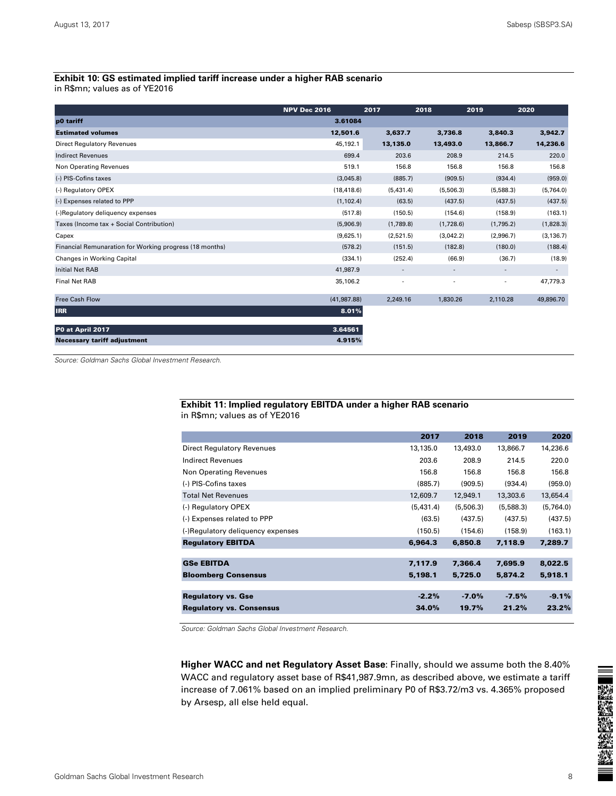### **Exhibit 10: GS estimated implied tariff increase under a higher RAB scenario**

in R\$mn; values as of YE2016

|                                                         | <b>NPV Dec 2016</b> | 2017                     | 2018                     | 2019                     | 2020       |
|---------------------------------------------------------|---------------------|--------------------------|--------------------------|--------------------------|------------|
| p0 tariff                                               | 3.61084             |                          |                          |                          |            |
| <b>Estimated volumes</b>                                | 12,501.6            | 3,637.7                  | 3.736.8                  | 3.840.3                  | 3,942.7    |
| <b>Direct Regulatory Revenues</b>                       | 45,192.1            | 13,135.0                 | 13,493.0                 | 13,866.7                 | 14,236.6   |
| <b>Indirect Revenues</b>                                | 699.4               | 203.6                    | 208.9                    | 214.5                    | 220.0      |
| Non Operating Revenues                                  | 519.1               | 156.8                    | 156.8                    | 156.8                    | 156.8      |
| (-) PIS-Cofins taxes                                    | (3,045.8)           | (885.7)                  | (909.5)                  | (934.4)                  | (959.0)    |
| (-) Regulatory OPEX                                     | (18, 418.6)         | (5,431.4)                | (5,506.3)                | (5,588.3)                | (5,764.0)  |
| (-) Expenses related to PPP                             | (1, 102.4)          | (63.5)                   | (437.5)                  | (437.5)                  | (437.5)    |
| (-)Regulatory deliquency expenses                       | (517.8)             | (150.5)                  | (154.6)                  | (158.9)                  | (163.1)    |
| Taxes (Income tax + Social Contribution)                | (5,906.9)           | (1,789.8)                | (1,728.6)                | (1,795.2)                | (1,828.3)  |
| Capex                                                   | (9,625.1)           | (2,521.5)                | (3,042.2)                | (2,996.7)                | (3, 136.7) |
| Financial Remunaration for Working progress (18 months) | (578.2)             | (151.5)                  | (182.8)                  | (180.0)                  | (188.4)    |
| <b>Changes in Working Capital</b>                       | (334.1)             | (252.4)                  | (66.9)                   | (36.7)                   | (18.9)     |
| <b>Initial Net RAB</b>                                  | 41,987.9            | $\overline{\phantom{a}}$ | $\overline{\phantom{a}}$ | $\overline{\phantom{a}}$ | ٠          |
| <b>Final Net RAB</b>                                    | 35,106.2            | $\overline{\phantom{a}}$ | $\overline{\phantom{a}}$ | ٠                        | 47,779.3   |
| <b>Free Cash Flow</b>                                   | (41, 987.88)        | 2,249.16                 | 1,830.26                 | 2,110.28                 | 49,896.70  |
| <b>IRR</b>                                              | 8.01%               |                          |                          |                          |            |
| P0 at April 2017                                        | 3.64561             |                          |                          |                          |            |
| <b>Necessary tariff adjustment</b>                      | 4.915%              |                          |                          |                          |            |

Source: Goldman Sachs Global Investment Research.

#### **Exhibit 11: Implied regulatory EBITDA under a higher RAB scenario**  in R\$mn; values as of YE2016

|                                   | 2017      | 2018      | 2019      | 2020      |
|-----------------------------------|-----------|-----------|-----------|-----------|
| Direct Regulatory Revenues        | 13,135.0  | 13,493.0  | 13,866.7  | 14,236.6  |
| <b>Indirect Revenues</b>          | 203.6     | 208.9     | 214.5     | 220.0     |
| <b>Non Operating Revenues</b>     | 156.8     | 156.8     | 156.8     | 156.8     |
| (-) PIS-Cofins taxes              | (885.7)   | (909.5)   | (934.4)   | (959.0)   |
| <b>Total Net Revenues</b>         | 12,609.7  | 12,949.1  | 13,303.6  | 13,654.4  |
| (-) Regulatory OPEX               | (5,431.4) | (5,506.3) | (5,588.3) | (5,764.0) |
| (-) Expenses related to PPP       | (63.5)    | (437.5)   | (437.5)   | (437.5)   |
| (-)Regulatory deliguency expenses | (150.5)   | (154.6)   | (158.9)   | (163.1)   |
| <b>Regulatory EBITDA</b>          | 6.964.3   | 6,850.8   | 7.118.9   | 7,289.7   |
|                                   |           |           |           |           |
| <b>GSe EBITDA</b>                 | 7.117.9   | 7.366.4   | 7,695.9   | 8,022.5   |
| <b>Bloomberg Consensus</b>        | 5,198.1   | 5,725.0   | 5,874.2   | 5,918.1   |
|                                   |           |           |           |           |
| <b>Regulatory vs. Gse</b>         | $-2.2%$   | $-7.0%$   | $-7.5%$   | $-9.1%$   |
| <b>Regulatory vs. Consensus</b>   | 34.0%     | 19.7%     | 21.2%     | 23.2%     |

Source: Goldman Sachs Global Investment Research.

**Higher WACC and net Regulatory Asset Base**: Finally, should we assume both the 8.40% WACC and regulatory asset base of R\$41,987.9mn, as described above, we estimate a tariff increase of 7.061% based on an implied preliminary P0 of R\$3.72/m3 vs. 4.365% proposed by Arsesp, all else held equal.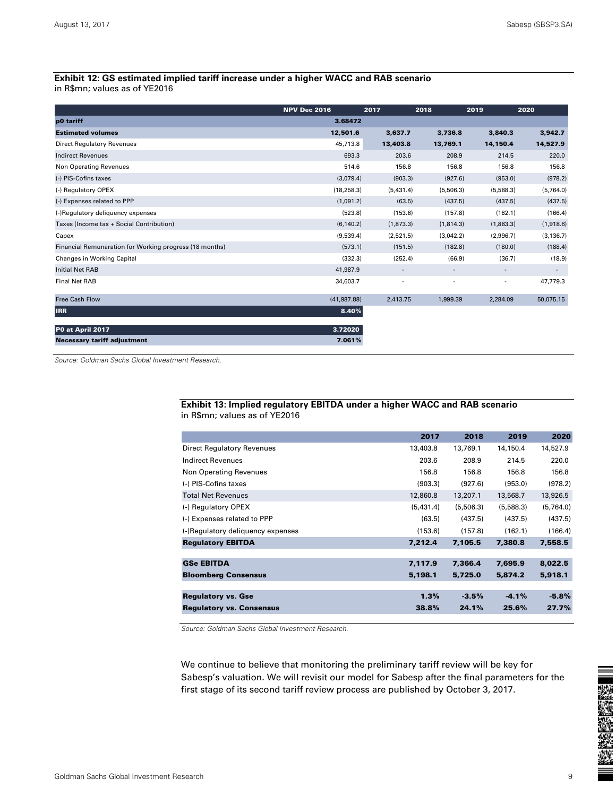# **Exhibit 12: GS estimated implied tariff increase under a higher WACC and RAB scenario**

in R\$mn; values as of YE2016

|                                                         | <b>NPV Dec 2016</b> | 2017                     | 2018                     | 2019                     | 2020       |
|---------------------------------------------------------|---------------------|--------------------------|--------------------------|--------------------------|------------|
| p0 tariff                                               | 3.68472             |                          |                          |                          |            |
| <b>Estimated volumes</b>                                | 12,501.6            | 3,637.7                  | 3,736.8                  | 3,840.3                  | 3,942.7    |
| <b>Direct Regulatory Revenues</b>                       | 45,713.8            | 13,403.8                 | 13,769.1                 | 14,150.4                 | 14,527.9   |
| <b>Indirect Revenues</b>                                | 693.3               | 203.6                    | 208.9                    | 214.5                    | 220.0      |
| Non Operating Revenues                                  | 514.6               | 156.8                    | 156.8                    | 156.8                    | 156.8      |
| (-) PIS-Cofins taxes                                    | (3,079.4)           | (903.3)                  | (927.6)                  | (953.0)                  | (978.2)    |
| (-) Regulatory OPEX                                     | (18, 258.3)         | (5,431.4)                | (5,506.3)                | (5,588.3)                | (5,764.0)  |
| (-) Expenses related to PPP                             | (1,091.2)           | (63.5)                   | (437.5)                  | (437.5)                  | (437.5)    |
| (-)Regulatory deliguency expenses                       | (523.8)             | (153.6)                  | (157.8)                  | (162.1)                  | (166.4)    |
| Taxes (Income tax + Social Contribution)                | (6, 140.2)          | (1,873.3)                | (1,814.3)                | (1,883.3)                | (1,918.6)  |
| Capex                                                   | (9,539.4)           | (2,521.5)                | (3,042.2)                | (2,996.7)                | (3, 136.7) |
| Financial Remunaration for Working progress (18 months) | (573.1)             | (151.5)                  | (182.8)                  | (180.0)                  | (188.4)    |
| <b>Changes in Working Capital</b>                       | (332.3)             | (252.4)                  | (66.9)                   | (36.7)                   | (18.9)     |
| <b>Initial Net RAB</b>                                  | 41,987.9            | ٠                        | $\overline{\phantom{a}}$ | $\overline{\phantom{a}}$ | $\sim$     |
| <b>Final Net RAB</b>                                    | 34,603.7            | $\overline{\phantom{a}}$ | ٠                        | ÷                        | 47,779.3   |
| <b>Free Cash Flow</b>                                   | (41, 987.88)        | 2,413.75                 | 1,999.39                 | 2,284.09                 | 50,075.15  |
| <b>IRR</b>                                              | 8.40%               |                          |                          |                          |            |
| P0 at April 2017                                        | 3.72020             |                          |                          |                          |            |
| <b>Necessary tariff adjustment</b>                      | 7.061%              |                          |                          |                          |            |

Source: Goldman Sachs Global Investment Research.

#### **Exhibit 13: Implied regulatory EBITDA under a higher WACC and RAB scenario**  in R\$mn; values as of YE2016

|                                   | 2017      | 2018      | 2019      | 2020      |
|-----------------------------------|-----------|-----------|-----------|-----------|
| Direct Regulatory Revenues        | 13,403.8  | 13,769.1  | 14,150.4  | 14,527.9  |
| Indirect Revenues                 | 203.6     | 208.9     | 214.5     | 220.0     |
| <b>Non Operating Revenues</b>     | 156.8     | 156.8     | 156.8     | 156.8     |
| (-) PIS-Cofins taxes              | (903.3)   | (927.6)   | (953.0)   | (978.2)   |
| <b>Total Net Revenues</b>         | 12,860.8  | 13,207.1  | 13,568.7  | 13,926.5  |
| (-) Regulatory OPEX               | (5,431.4) | (5,506.3) | (5,588.3) | (5,764.0) |
| (-) Expenses related to PPP       | (63.5)    | (437.5)   | (437.5)   | (437.5)   |
| (-)Regulatory deliguency expenses | (153.6)   | (157.8)   | (162.1)   | (166.4)   |
| <b>Regulatory EBITDA</b>          | 7,212.4   | 7,105.5   | 7,380.8   | 7,558.5   |
|                                   |           |           |           |           |
| <b>GSe EBITDA</b>                 | 7,117.9   | 7.366.4   | 7.695.9   | 8,022.5   |
| <b>Bloomberg Consensus</b>        | 5,198.1   | 5,725.0   | 5,874.2   | 5,918.1   |
|                                   |           |           |           |           |
| <b>Regulatory vs. Gse</b>         | 1.3%      | $-3.5%$   | $-4.1%$   | $-5.8%$   |
| <b>Regulatory vs. Consensus</b>   | 38.8%     | 24.1%     | 25.6%     | 27.7%     |

Source: Goldman Sachs Global Investment Research.

We continue to believe that monitoring the preliminary tariff review will be key for Sabesp's valuation. We will revisit our model for Sabesp after the final parameters for the first stage of its second tariff review process are published by October 3, 2017.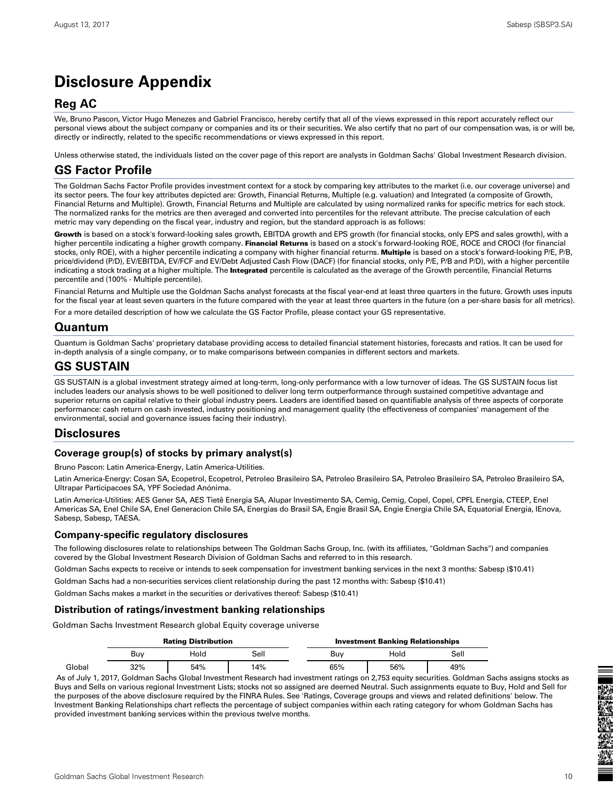# **Disclosure Appendix**

# **Reg AC**

We, Bruno Pascon, Victor Hugo Menezes and Gabriel Francisco, hereby certify that all of the views expressed in this report accurately reflect our personal views about the subject company or companies and its or their securities. We also certify that no part of our compensation was, is or will be, directly or indirectly, related to the specific recommendations or views expressed in this report.

Unless otherwise stated, the individuals listed on the cover page of this report are analysts in Goldman Sachs' Global Investment Research division.

# **GS Factor Profile**

The Goldman Sachs Factor Profile provides investment context for a stock by comparing key attributes to the market (i.e. our coverage universe) and its sector peers. The four key attributes depicted are: Growth, Financial Returns, Multiple (e.g. valuation) and Integrated (a composite of Growth, Financial Returns and Multiple). Growth, Financial Returns and Multiple are calculated by using normalized ranks for specific metrics for each stock. The normalized ranks for the metrics are then averaged and converted into percentiles for the relevant attribute. The precise calculation of each metric may vary depending on the fiscal year, industry and region, but the standard approach is as follows:

Growth is based on a stock's forward-looking sales growth, EBITDA growth and EPS growth (for financial stocks, only EPS and sales growth), with a higher percentile indicating a higher growth company. Financial Returns is based on a stock's forward-looking ROE, ROCE and CROCI (for financial stocks, only ROE), with a higher percentile indicating a company with higher financial returns. Multiple is based on a stock's forward-looking P/E, P/B, price/dividend (P/D), EV/EBITDA, EV/FCF and EV/Debt Adjusted Cash Flow (DACF) (for financial stocks, only P/E, P/B and P/D), with a higher percentile indicating a stock trading at a higher multiple. The Integrated percentile is calculated as the average of the Growth percentile, Financial Returns percentile and (100% - Multiple percentile).

Financial Returns and Multiple use the Goldman Sachs analyst forecasts at the fiscal year-end at least three quarters in the future. Growth uses inputs for the fiscal year at least seven quarters in the future compared with the year at least three quarters in the future (on a per-share basis for all metrics).

For a more detailed description of how we calculate the GS Factor Profile, please contact your GS representative.

# **Quantum**

Quantum is Goldman Sachs' proprietary database providing access to detailed financial statement histories, forecasts and ratios. It can be used for in-depth analysis of a single company, or to make comparisons between companies in different sectors and markets.

# **GS SUSTAIN**

GS SUSTAIN is a global investment strategy aimed at long-term, long-only performance with a low turnover of ideas. The GS SUSTAIN focus list includes leaders our analysis shows to be well positioned to deliver long term outperformance through sustained competitive advantage and superior returns on capital relative to their global industry peers. Leaders are identified based on quantifiable analysis of three aspects of corporate performance: cash return on cash invested, industry positioning and management quality (the effectiveness of companies' management of the environmental, social and governance issues facing their industry).

# **Disclosures**

### **Coverage group(s) of stocks by primary analyst(s)**

Bruno Pascon: Latin America-Energy, Latin America-Utilities.

Latin America-Energy: Cosan SA, Ecopetrol, Ecopetrol, Petroleo Brasileiro SA, Petroleo Brasileiro SA, Petroleo Brasileiro SA, Petroleo Brasileiro SA, Ultrapar Participacoes SA, YPF Sociedad Anónima.

Latin America-Utilities: AES Gener SA, AES Tietê Energia SA, Alupar Investimento SA, Cemig, Cemig, Copel, Copel, CPFL Energia, CTEEP, Enel Americas SA, Enel Chile SA, Enel Generacion Chile SA, Energias do Brasil SA, Engie Brasil SA, Engie Energia Chile SA, Equatorial Energia, IEnova, Sabesp, Sabesp, TAESA.

#### **Company-specific regulatory disclosures**

The following disclosures relate to relationships between The Goldman Sachs Group, Inc. (with its affiliates, "Goldman Sachs") and companies covered by the Global Investment Research Division of Goldman Sachs and referred to in this research.

Goldman Sachs expects to receive or intends to seek compensation for investment banking services in the next 3 months: Sabesp (\$10.41)

Goldman Sachs had a non-securities services client relationship during the past 12 months with: Sabesp (\$10.41)

Goldman Sachs makes a market in the securities or derivatives thereof: Sabesp (\$10.41)

#### **Distribution of ratings/investment banking relationships**

Goldman Sachs Investment Research global Equity coverage universe

|        | <b>Rating Distribution</b> |      |      | <b>Investment Banking Relationships</b> |      |      |
|--------|----------------------------|------|------|-----------------------------------------|------|------|
|        | Buv                        | Hold | Seli | Buv                                     | Hold | Sell |
| Global | 32%                        | 54%  | 14%  | 65%                                     | 56%  | 49%  |

 As of July 1, 2017, Goldman Sachs Global Investment Research had investment ratings on 2,753 equity securities. Goldman Sachs assigns stocks as Buys and Sells on various regional Investment Lists; stocks not so assigned are deemed Neutral. Such assignments equate to Buy, Hold and Sell for the purposes of the above disclosure required by the FINRA Rules. See 'Ratings, Coverage groups and views and related definitions' below. The Investment Banking Relationships chart reflects the percentage of subject companies within each rating category for whom Goldman Sachs has provided investment banking services within the previous twelve months.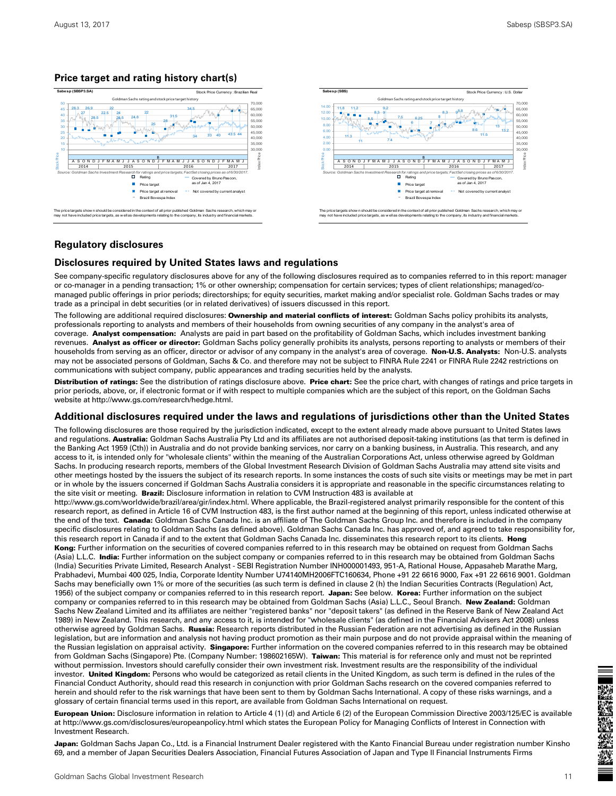#### **Price target and rating history chart(s)**



The price targets show n should be considered in the context of all prior published Goldman Sachs research, which may or<br>may not have included price targets, as well as developments relating to the company, its industry an



#### **Regulatory disclosures**

#### **Disclosures required by United States laws and regulations**

See company-specific regulatory disclosures above for any of the following disclosures required as to companies referred to in this report: manager or co-manager in a pending transaction; 1% or other ownership; compensation for certain services; types of client relationships; managed/comanaged public offerings in prior periods; directorships; for equity securities, market making and/or specialist role. Goldman Sachs trades or may trade as a principal in debt securities (or in related derivatives) of issuers discussed in this report.

The following are additional required disclosures: Ownership and material conflicts of interest: Goldman Sachs policy prohibits its analysts, professionals reporting to analysts and members of their households from owning securities of any company in the analyst's area of coverage. Analyst compensation: Analysts are paid in part based on the profitability of Goldman Sachs, which includes investment banking revenues. Analyst as officer or director: Goldman Sachs policy generally prohibits its analysts, persons reporting to analysts or members of their households from serving as an officer, director or advisor of any company in the analyst's area of coverage. Non-U.S. Analysts: Non-U.S. analysts may not be associated persons of Goldman, Sachs & Co. and therefore may not be subject to FINRA Rule 2241 or FINRA Rule 2242 restrictions on communications with subject company, public appearances and trading securities held by the analysts.

Distribution of ratings: See the distribution of ratings disclosure above. Price chart: See the price chart, with changes of ratings and price targets in prior periods, above, or, if electronic format or if with respect to multiple companies which are the subject of this report, on the Goldman Sachs website at http://www.gs.com/research/hedge.html.

#### **Additional disclosures required under the laws and regulations of jurisdictions other than the United States**

The following disclosures are those required by the jurisdiction indicated, except to the extent already made above pursuant to United States laws and regulations. Australia: Goldman Sachs Australia Pty Ltd and its affiliates are not authorised deposit-taking institutions (as that term is defined in the Banking Act 1959 (Cth)) in Australia and do not provide banking services, nor carry on a banking business, in Australia. This research, and any access to it, is intended only for "wholesale clients" within the meaning of the Australian Corporations Act, unless otherwise agreed by Goldman Sachs. In producing research reports, members of the Global Investment Research Division of Goldman Sachs Australia may attend site visits and other meetings hosted by the issuers the subject of its research reports. In some instances the costs of such site visits or meetings may be met in part or in whole by the issuers concerned if Goldman Sachs Australia considers it is appropriate and reasonable in the specific circumstances relating to the site visit or meeting. Brazil: Disclosure information in relation to CVM Instruction 483 is available at

http://www.gs.com/worldwide/brazil/area/gir/index.html. Where applicable, the Brazil-registered analyst primarily responsible for the content of this research report, as defined in Article 16 of CVM Instruction 483, is the first author named at the beginning of this report, unless indicated otherwise at the end of the text. Canada: Goldman Sachs Canada Inc. is an affiliate of The Goldman Sachs Group Inc. and therefore is included in the company specific disclosures relating to Goldman Sachs (as defined above). Goldman Sachs Canada Inc. has approved of, and agreed to take responsibility for, this research report in Canada if and to the extent that Goldman Sachs Canada Inc. disseminates this research report to its clients. Hong Kong: Further information on the securities of covered companies referred to in this research may be obtained on request from Goldman Sachs (Asia) L.L.C. India: Further information on the subject company or companies referred to in this research may be obtained from Goldman Sachs (India) Securities Private Limited, Research Analyst - SEBI Registration Number INH000001493, 951-A, Rational House, Appasaheb Marathe Marg, Prabhadevi, Mumbai 400 025, India, Corporate Identity Number U74140MH2006FTC160634, Phone +91 22 6616 9000, Fax +91 22 6616 9001. Goldman Sachs may beneficially own 1% or more of the securities (as such term is defined in clause 2 (h) the Indian Securities Contracts (Regulation) Act, 1956) of the subject company or companies referred to in this research report. Japan: See below. Korea: Further information on the subject company or companies referred to in this research may be obtained from Goldman Sachs (Asia) L.L.C., Seoul Branch. New Zealand: Goldman Sachs New Zealand Limited and its affiliates are neither "registered banks" nor "deposit takers" (as defined in the Reserve Bank of New Zealand Act 1989) in New Zealand. This research, and any access to it, is intended for "wholesale clients" (as defined in the Financial Advisers Act 2008) unless otherwise agreed by Goldman Sachs. Russia: Research reports distributed in the Russian Federation are not advertising as defined in the Russian legislation, but are information and analysis not having product promotion as their main purpose and do not provide appraisal within the meaning of the Russian legislation on appraisal activity. Singapore: Further information on the covered companies referred to in this research may be obtained from Goldman Sachs (Singapore) Pte. (Company Number: 198602165W). Taiwan: This material is for reference only and must not be reprinted without permission. Investors should carefully consider their own investment risk. Investment results are the responsibility of the individual investor. United Kingdom: Persons who would be categorized as retail clients in the United Kingdom, as such term is defined in the rules of the Financial Conduct Authority, should read this research in conjunction with prior Goldman Sachs research on the covered companies referred to herein and should refer to the risk warnings that have been sent to them by Goldman Sachs International. A copy of these risks warnings, and a glossary of certain financial terms used in this report, are available from Goldman Sachs International on request.

European Union: Disclosure information in relation to Article 4 (1) (d) and Article 6 (2) of the European Commission Directive 2003/125/EC is available at http://www.gs.com/disclosures/europeanpolicy.html which states the European Policy for Managing Conflicts of Interest in Connection with Investment Research.

Japan: Goldman Sachs Japan Co., Ltd. is a Financial Instrument Dealer registered with the Kanto Financial Bureau under registration number Kinsho 69, and a member of Japan Securities Dealers Association, Financial Futures Association of Japan and Type II Financial Instruments Firms

═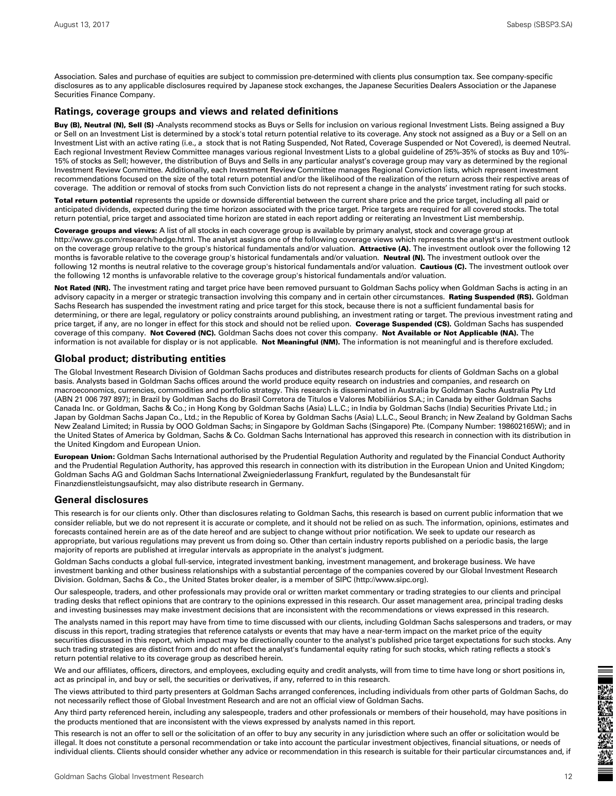Association. Sales and purchase of equities are subject to commission pre-determined with clients plus consumption tax. See company-specific disclosures as to any applicable disclosures required by Japanese stock exchanges, the Japanese Securities Dealers Association or the Japanese Securities Finance Company.

#### **Ratings, coverage groups and views and related definitions**

Buy (B), Neutral (N), Sell (S) -Analysts recommend stocks as Buys or Sells for inclusion on various regional Investment Lists. Being assigned a Buy or Sell on an Investment List is determined by a stock's total return potential relative to its coverage. Any stock not assigned as a Buy or a Sell on an Investment List with an active rating (i.e., a stock that is not Rating Suspended, Not Rated, Coverage Suspended or Not Covered), is deemed Neutral. Each regional Investment Review Committee manages various regional Investment Lists to a global guideline of 25%-35% of stocks as Buy and 10%- 15% of stocks as Sell; however, the distribution of Buys and Sells in any particular analyst's coverage group may vary as determined by the regional Investment Review Committee. Additionally, each Investment Review Committee manages Regional Conviction lists, which represent investment recommendations focused on the size of the total return potential and/or the likelihood of the realization of the return across their respective areas of coverage. The addition or removal of stocks from such Conviction lists do not represent a change in the analysts' investment rating for such stocks.

Total return potential represents the upside or downside differential between the current share price and the price target, including all paid or anticipated dividends, expected during the time horizon associated with the price target. Price targets are required for all covered stocks. The total return potential, price target and associated time horizon are stated in each report adding or reiterating an Investment List membership.

Coverage groups and views: A list of all stocks in each coverage group is available by primary analyst, stock and coverage group at http://www.gs.com/research/hedge.html. The analyst assigns one of the following coverage views which represents the analyst's investment outlook on the coverage group relative to the group's historical fundamentals and/or valuation. Attractive (A). The investment outlook over the following 12 months is favorable relative to the coverage group's historical fundamentals and/or valuation. Neutral (N). The investment outlook over the following 12 months is neutral relative to the coverage group's historical fundamentals and/or valuation. Cautious (C). The investment outlook over the following 12 months is unfavorable relative to the coverage group's historical fundamentals and/or valuation.

Not Rated (NR). The investment rating and target price have been removed pursuant to Goldman Sachs policy when Goldman Sachs is acting in an advisory capacity in a merger or strategic transaction involving this company and in certain other circumstances. Rating Suspended (RS). Goldman Sachs Research has suspended the investment rating and price target for this stock, because there is not a sufficient fundamental basis for determining, or there are legal, regulatory or policy constraints around publishing, an investment rating or target. The previous investment rating and price target, if any, are no longer in effect for this stock and should not be relied upon. Coverage Suspended (CS). Goldman Sachs has suspended coverage of this company. Not Covered (NC). Goldman Sachs does not cover this company. Not Available or Not Applicable (NA). The information is not available for display or is not applicable. Not Meaningful (NM). The information is not meaningful and is therefore excluded.

#### **Global product; distributing entities**

The Global Investment Research Division of Goldman Sachs produces and distributes research products for clients of Goldman Sachs on a global basis. Analysts based in Goldman Sachs offices around the world produce equity research on industries and companies, and research on macroeconomics, currencies, commodities and portfolio strategy. This research is disseminated in Australia by Goldman Sachs Australia Pty Ltd (ABN 21 006 797 897); in Brazil by Goldman Sachs do Brasil Corretora de Títulos e Valores Mobiliários S.A.; in Canada by either Goldman Sachs Canada Inc. or Goldman, Sachs & Co.; in Hong Kong by Goldman Sachs (Asia) L.L.C.; in India by Goldman Sachs (India) Securities Private Ltd.; in Japan by Goldman Sachs Japan Co., Ltd.; in the Republic of Korea by Goldman Sachs (Asia) L.L.C., Seoul Branch; in New Zealand by Goldman Sachs New Zealand Limited; in Russia by OOO Goldman Sachs; in Singapore by Goldman Sachs (Singapore) Pte. (Company Number: 198602165W); and in the United States of America by Goldman, Sachs & Co. Goldman Sachs International has approved this research in connection with its distribution in the United Kingdom and European Union.

European Union: Goldman Sachs International authorised by the Prudential Regulation Authority and regulated by the Financial Conduct Authority and the Prudential Regulation Authority, has approved this research in connection with its distribution in the European Union and United Kingdom; Goldman Sachs AG and Goldman Sachs International Zweigniederlassung Frankfurt, regulated by the Bundesanstalt für Finanzdienstleistungsaufsicht, may also distribute research in Germany.

#### **General disclosures**

This research is for our clients only. Other than disclosures relating to Goldman Sachs, this research is based on current public information that we consider reliable, but we do not represent it is accurate or complete, and it should not be relied on as such. The information, opinions, estimates and forecasts contained herein are as of the date hereof and are subject to change without prior notification. We seek to update our research as appropriate, but various regulations may prevent us from doing so. Other than certain industry reports published on a periodic basis, the large majority of reports are published at irregular intervals as appropriate in the analyst's judgment.

Goldman Sachs conducts a global full-service, integrated investment banking, investment management, and brokerage business. We have investment banking and other business relationships with a substantial percentage of the companies covered by our Global Investment Research Division. Goldman, Sachs & Co., the United States broker dealer, is a member of SIPC (http://www.sipc.org).

Our salespeople, traders, and other professionals may provide oral or written market commentary or trading strategies to our clients and principal trading desks that reflect opinions that are contrary to the opinions expressed in this research. Our asset management area, principal trading desks and investing businesses may make investment decisions that are inconsistent with the recommendations or views expressed in this research.

The analysts named in this report may have from time to time discussed with our clients, including Goldman Sachs salespersons and traders, or may discuss in this report, trading strategies that reference catalysts or events that may have a near-term impact on the market price of the equity securities discussed in this report, which impact may be directionally counter to the analyst's published price target expectations for such stocks. Any such trading strategies are distinct from and do not affect the analyst's fundamental equity rating for such stocks, which rating reflects a stock's return potential relative to its coverage group as described herein.

We and our affiliates, officers, directors, and employees, excluding equity and credit analysts, will from time to time have long or short positions in, act as principal in, and buy or sell, the securities or derivatives, if any, referred to in this research.

The views attributed to third party presenters at Goldman Sachs arranged conferences, including individuals from other parts of Goldman Sachs, do not necessarily reflect those of Global Investment Research and are not an official view of Goldman Sachs.

Any third party referenced herein, including any salespeople, traders and other professionals or members of their household, may have positions in the products mentioned that are inconsistent with the views expressed by analysts named in this report.

This research is not an offer to sell or the solicitation of an offer to buy any security in any jurisdiction where such an offer or solicitation would be illegal. It does not constitute a personal recommendation or take into account the particular investment objectives, financial situations, or needs of individual clients. Clients should consider whether any advice or recommendation in this research is suitable for their particular circumstances and, if ═